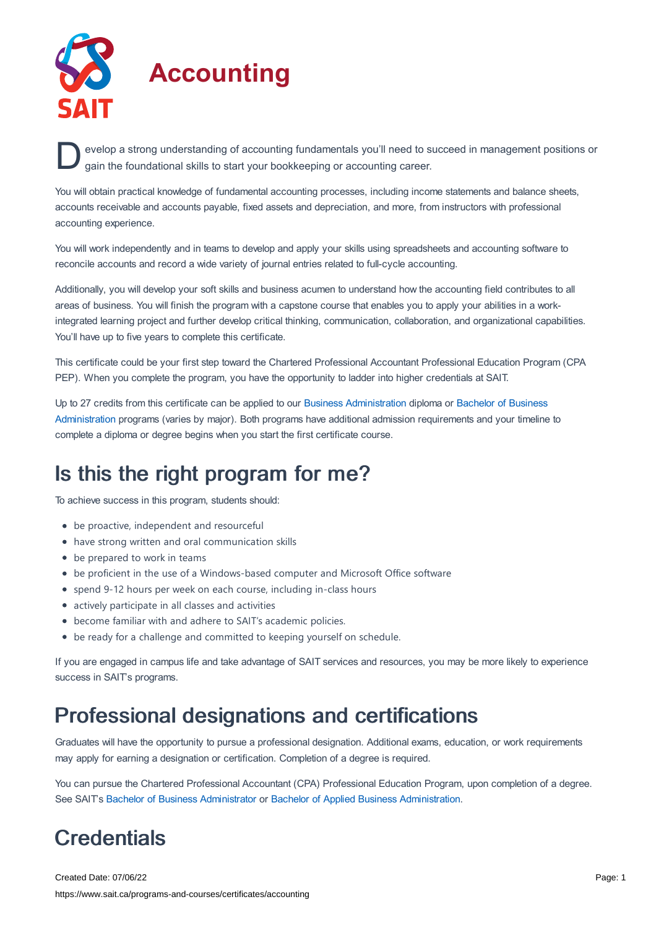

evelop a strong understanding of accounting fundamentals you'll need to succeed in management positions or gain the foundational skills to start your bookkeeping or accounting career. gain the foundational skills to start your bookkeeping or accounting career.

You will obtain practical knowledge of fundamental accounting processes, including income statements and balance sheets, accounts receivable and accounts payable, fixed assets and depreciation, and more, from instructors with professional accounting experience.

You will work independently and in teams to develop and apply your skills using spreadsheets and accounting software to reconcile accounts and record a wide variety of journal entries related to full-cycle accounting.

Additionally, you will develop your soft skills and business acumen to understand how the accounting field contributes to all areas of business. You will finish the program with a capstone course that enables you to apply your abilities in a workintegrated learning project and further develop critical thinking, communication, collaboration, and organizational capabilities. You'll have up to five years to complete this certificate.

This certificate could be your first step toward the Chartered Professional Accountant Professional Education Program (CPA PEP). When you complete the program, you have the opportunity to ladder into higher credentials at SAIT.

Up to 27 credits from this certificate can be applied to our Business [Administration](https://www.sait.ca/programs-and-courses/degrees/bachelor-of-business-administration) diploma or Bachelor of Business Administration programs (varies by major). Both programs have additional admission requirements and your timeline to complete a diploma or degree begins when you start the first certificate course.

# Is this the right program for me?

To achieve success in this program, students should:

- be proactive, independent and resourceful
- have strong written and oral communication skills
- be prepared to work in teams
- be proficient in the use of a Windows-based computer and Microsoft Office software
- spend 9-12 hours per week on each course, including in-class hours
- actively participate in all classes and activities
- become familiar with and adhere to SAIT's academic policies.
- be ready for a challenge and committed to keeping yourself on schedule.

If you are engaged in campus life and take advantage of SAIT services and resources, you may be more likely to experience success in SAIT's programs.

# Professional designations and certifications

Graduates will have the opportunity to pursue a professional designation. Additional exams, education, or work requirements may apply for earning a designation or certification. Completion of a degree is required.

You can pursue the Chartered Professional Accountant (CPA) Professional Education Program, upon completion of a degree. See SAIT's Bachelor of Business [Administrator](https://www.sait.ca/programs-and-courses/degrees/bachelor-of-business-administration) or Bachelor of Applied Business [Administration](https://www.sait.ca/programs-and-courses/degrees/bachelor-of-applied-business-administration).

# **Credentials**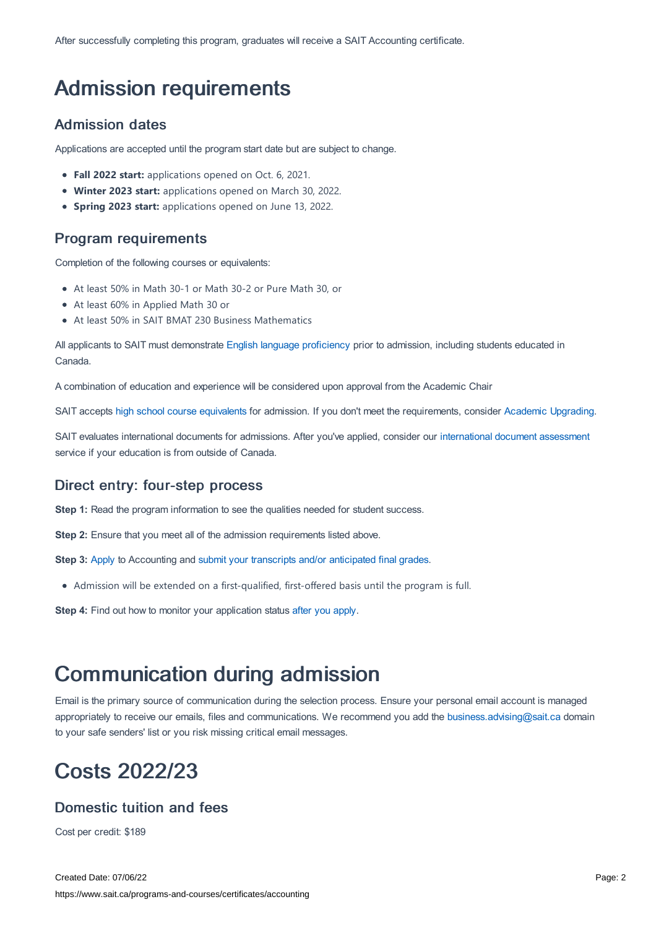After successfully completing this program, graduates will receive a SAIT Accounting certificate.

# Admission requirements

## Admission dates

Applications are accepted until the program start date but are subject to change.

- **Fall 2022 start:** applications opened on Oct. 6, 2021.
- **Winter 2023 start:** applications opened on March 30, 2022.
- **Spring 2023 start:** applications opened on June 13, 2022.

## Program requirements

Completion of the following courses or equivalents:

- At least 50% in Math 30-1 or Math 30-2 or Pure Math 30, or
- At least 60% in Applied Math 30 or
- At least 50% in SAIT BMAT 230 Business Mathematics

All applicants to SAIT must demonstrate English language [proficiency](https://www.sait.ca/admissions/before-you-apply/english-proficiency) prior to admission, including students educated in Canada.

A combination of education and experience will be considered upon approval from the Academic Chair

SAIT accepts high school course [equivalents](https://www.sait.ca/admissions/before-you-apply/high-school-course-equivalencies) for admission. If you don't meet the requirements, consider Academic [Upgrading.](https://www.sait.ca/programs-and-courses/academic-upgrading)

SAIT evaluates international documents for admissions. After you've applied, consider our [international](https://www.sait.ca/admissions/after-you-apply/international-document-assessment) document assessment service if your education is from outside of Canada.

## Direct entry: four-step process

**Step 1:** Read the program information to see the qualities needed for student success.

**Step 2:** Ensure that you meet all of the admission requirements listed above.

**Step 3:** [Apply](https://www.sait.ca/admissions/apply) to Accounting and submit your transcripts and/or [anticipated](https://www.sait.ca/admissions/after-you-apply/transcripts-and-supporting-documents) final grades.

Admission will be extended on a first-qualified, first-offered basis until the program is full.

**Step 4:** Find out how to monitor your application status after you [apply](https://www.sait.ca/admissions/after-you-apply/tracking-your-application).

# Communication during admission

Email is the primary source of communication during the selection process. Ensure your personal email account is managed appropriately to receive our emails, files and communications. We recommend you add the [business.advising@sait.ca](https://sait.camailto:business.advising@sait.ca) domain to your safe senders' list or you risk missing critical email messages.

# Costs 2022/23

## Domestic tuition and fees

Cost per credit: \$189